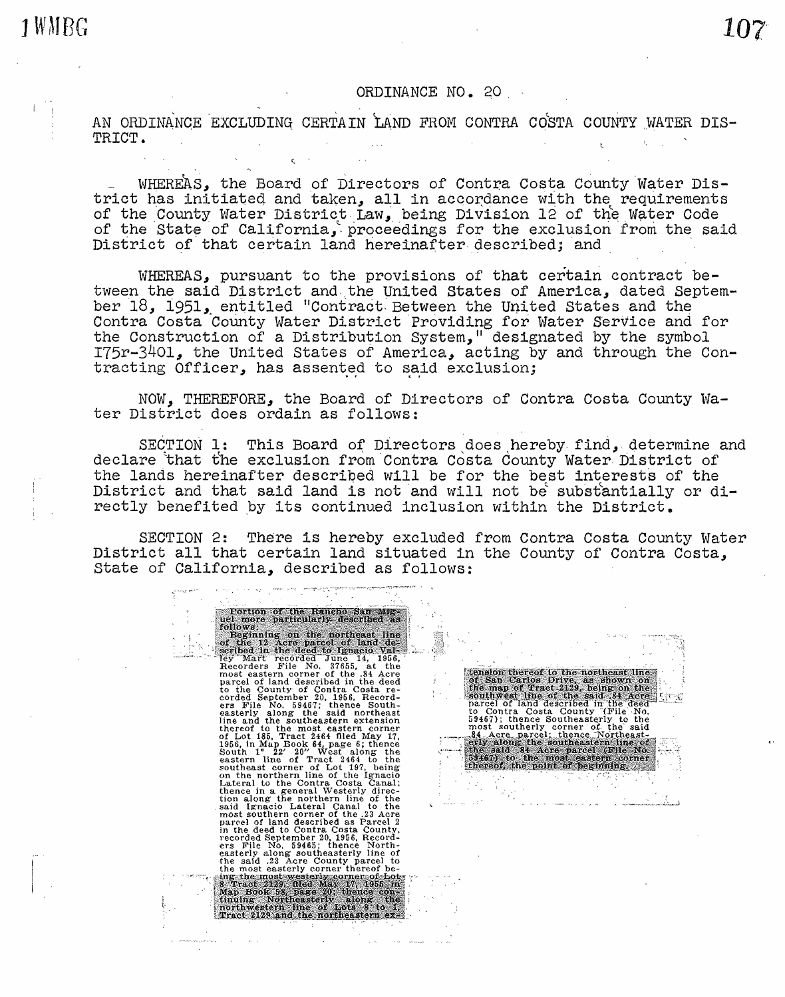## ORDINANCE NO. 20

AN ORDINANCE EXCLUDING CERTAIN LAND FROM CONTRA COSTA COUNTY WATER DIS-TRICT.

WHEREAS, the Board of Directors of Contra Costa County Water Dis-<br>trict has initiated and taken, all in accordance with the requirements of the County Water District Law, being Division 12 of the Water Code of the State of California, proceedings for the exclusion from the said District of that certain land hereinafter described; and

WHEREAS, pursuant to the provisions of that certain contract be-<br>tween the said District and the United States of America, dated Septemthe Times District and ... the Contract District District of Times and States and the Contra Costa County Water District Providing for Water Service and for the Construction of a Distribution System," designated by the symbol I75r-3401, the United States of America, acting by and through the Contracting Officer, has assented to said exclusion;

NOW, THEREFORE, the Board of Directors of Contra Costa County Water District does ordain as follows:

SECTION 1: This Board of Directors does hereby find, determine and declare that the exclusion from Contra Costa County Water District of the lands hereinafter described will be for the best interests of the District and that said land is not and will not be substantially or directly benefited by its continued inclusion within the District.

SECTION 2: There is hereby excluded from Contra Costa County Water District all that certain land situated in the County of Contra Costa, State of California, described as follows: